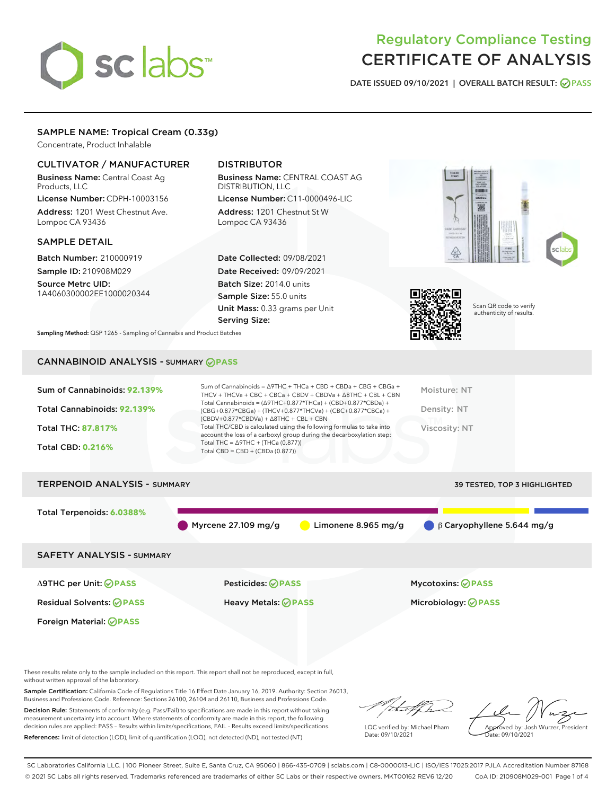# sclabs

# Regulatory Compliance Testing CERTIFICATE OF ANALYSIS

DATE ISSUED 09/10/2021 | OVERALL BATCH RESULT: @ PASS

# SAMPLE NAME: Tropical Cream (0.33g)

Concentrate, Product Inhalable

# CULTIVATOR / MANUFACTURER

Business Name: Central Coast Ag Products, LLC

License Number: CDPH-10003156 Address: 1201 West Chestnut Ave. Lompoc CA 93436

#### SAMPLE DETAIL

Batch Number: 210000919 Sample ID: 210908M029

Source Metrc UID: 1A4060300002EE1000020344

# DISTRIBUTOR

Business Name: CENTRAL COAST AG DISTRIBUTION, LLC License Number: C11-0000496-LIC

Address: 1201 Chestnut St W Lompoc CA 93436

Date Collected: 09/08/2021 Date Received: 09/09/2021 Batch Size: 2014.0 units Sample Size: 55.0 units Unit Mass: 0.33 grams per Unit Serving Size:





Scan QR code to verify authenticity of results.

Sampling Method: QSP 1265 - Sampling of Cannabis and Product Batches

# CANNABINOID ANALYSIS - SUMMARY **PASS**



# TERPENOID ANALYSIS - SUMMARY 39 TESTED, TOP 3 HIGHLIGHTED Total Terpenoids: **6.0388%** Myrcene 27.109 mg/g Limonene 8.965 mg/g β Caryophyllene 5.644 mg/g SAFETY ANALYSIS - SUMMARY Δ9THC per Unit: **PASS** Pesticides: **PASS** Mycotoxins: **PASS**

Residual Solvents: **PASS** Heavy Metals: **PASS** Microbiology: **PASS**

Foreign Material: **PASS**

These results relate only to the sample included on this report. This report shall not be reproduced, except in full, without written approval of the laboratory.

Sample Certification: California Code of Regulations Title 16 Effect Date January 16, 2019. Authority: Section 26013, Business and Professions Code. Reference: Sections 26100, 26104 and 26110, Business and Professions Code.

Decision Rule: Statements of conformity (e.g. Pass/Fail) to specifications are made in this report without taking measurement uncertainty into account. Where statements of conformity are made in this report, the following decision rules are applied: PASS – Results within limits/specifications, FAIL – Results exceed limits/specifications. References: limit of detection (LOD), limit of quantification (LOQ), not detected (ND), not tested (NT)

that for

LQC verified by: Michael Pham Date: 09/10/2021

Approved by: Josh Wurzer, President ate: 09/10/2021

SC Laboratories California LLC. | 100 Pioneer Street, Suite E, Santa Cruz, CA 95060 | 866-435-0709 | sclabs.com | C8-0000013-LIC | ISO/IES 17025:2017 PJLA Accreditation Number 87168 © 2021 SC Labs all rights reserved. Trademarks referenced are trademarks of either SC Labs or their respective owners. MKT00162 REV6 12/20 CoA ID: 210908M029-001 Page 1 of 4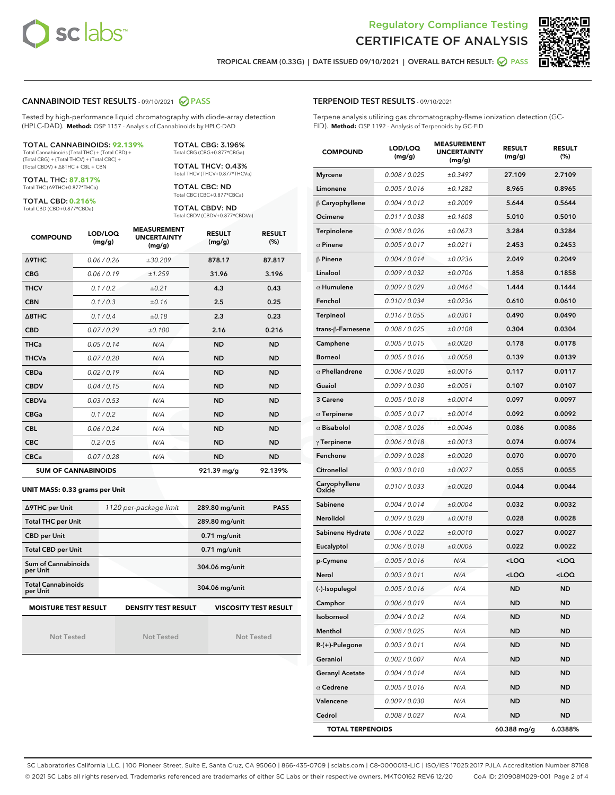



TROPICAL CREAM (0.33G) | DATE ISSUED 09/10/2021 | OVERALL BATCH RESULT: **○** PASS

#### CANNABINOID TEST RESULTS - 09/10/2021 2 PASS

Tested by high-performance liquid chromatography with diode-array detection (HPLC-DAD). **Method:** QSP 1157 - Analysis of Cannabinoids by HPLC-DAD

#### TOTAL CANNABINOIDS: **92.139%**

Total Cannabinoids (Total THC) + (Total CBD) + (Total CBG) + (Total THCV) + (Total CBC) + (Total CBDV) + ∆8THC + CBL + CBN

TOTAL THC: **87.817%** Total THC (∆9THC+0.877\*THCa)

TOTAL CBD: **0.216%**

Total CBD (CBD+0.877\*CBDa)

TOTAL CBG: 3.196% Total CBG (CBG+0.877\*CBGa)

TOTAL THCV: 0.43% Total THCV (THCV+0.877\*THCVa)

TOTAL CBC: ND Total CBC (CBC+0.877\*CBCa)

TOTAL CBDV: ND Total CBDV (CBDV+0.877\*CBDVa)

| <b>COMPOUND</b>  | LOD/LOQ<br>(mg/g)          | <b>MEASUREMENT</b><br><b>UNCERTAINTY</b><br>(mg/g) | <b>RESULT</b><br>(mg/g) | <b>RESULT</b><br>(%) |
|------------------|----------------------------|----------------------------------------------------|-------------------------|----------------------|
| Δ9THC            | 0.06/0.26                  | ±30.209                                            | 878.17                  | 87.817               |
| <b>CBG</b>       | 0.06/0.19                  | ±1.259                                             | 31.96                   | 3.196                |
| <b>THCV</b>      | 0.1/0.2                    | ±0.21                                              | 4.3                     | 0.43                 |
| <b>CBN</b>       | 0.1/0.3                    | ±0.16                                              | 2.5                     | 0.25                 |
| $\triangle$ 8THC | 0.1/0.4                    | ±0.18                                              | 2.3                     | 0.23                 |
| <b>CBD</b>       | 0.07/0.29                  | ±0.100                                             | 2.16                    | 0.216                |
| <b>THCa</b>      | 0.05/0.14                  | N/A                                                | <b>ND</b>               | <b>ND</b>            |
| <b>THCVa</b>     | 0.07 / 0.20                | N/A                                                | <b>ND</b>               | <b>ND</b>            |
| <b>CBDa</b>      | 0.02/0.19                  | N/A                                                | <b>ND</b>               | <b>ND</b>            |
| <b>CBDV</b>      | 0.04 / 0.15                | N/A                                                | <b>ND</b>               | <b>ND</b>            |
| <b>CBDVa</b>     | 0.03/0.53                  | N/A                                                | <b>ND</b>               | <b>ND</b>            |
| <b>CBGa</b>      | 0.1 / 0.2                  | N/A                                                | <b>ND</b>               | <b>ND</b>            |
| <b>CBL</b>       | 0.06 / 0.24                | N/A                                                | <b>ND</b>               | <b>ND</b>            |
| <b>CBC</b>       | 0.2 / 0.5                  | N/A                                                | <b>ND</b>               | <b>ND</b>            |
| <b>CBCa</b>      | 0.07/0.28                  | N/A                                                | <b>ND</b>               | <b>ND</b>            |
|                  | <b>SUM OF CANNABINOIDS</b> |                                                    | 921.39 mg/g             | 92.139%              |

#### **UNIT MASS: 0.33 grams per Unit**

| ∆9THC per Unit                        | 1120 per-package limit     | 289.80 mg/unit<br><b>PASS</b> |
|---------------------------------------|----------------------------|-------------------------------|
| <b>Total THC per Unit</b>             |                            | 289.80 mg/unit                |
| <b>CBD per Unit</b>                   |                            | $0.71$ mg/unit                |
| <b>Total CBD per Unit</b>             |                            | $0.71$ mg/unit                |
| Sum of Cannabinoids<br>per Unit       |                            | 304.06 mg/unit                |
| <b>Total Cannabinoids</b><br>per Unit |                            | 304.06 mg/unit                |
| <b>MOISTURE TEST RESULT</b>           | <b>DENSITY TEST RESULT</b> | <b>VISCOSITY TEST RESULT</b>  |

Not Tested

Not Tested

Not Tested

#### TERPENOID TEST RESULTS - 09/10/2021

Terpene analysis utilizing gas chromatography-flame ionization detection (GC-FID). **Method:** QSP 1192 - Analysis of Terpenoids by GC-FID

| <b>COMPOUND</b>         | LOD/LOQ<br>(mg/g) | <b>MEASUREMENT</b><br><b>UNCERTAINTY</b><br>(mg/g) | <b>RESULT</b><br>(mg/g)                         | <b>RESULT</b><br>(%) |
|-------------------------|-------------------|----------------------------------------------------|-------------------------------------------------|----------------------|
| <b>Myrcene</b>          | 0.008 / 0.025     | ±0.3497                                            | 27.109                                          | 2.7109               |
| Limonene                | 0.005 / 0.016     | ±0.1282                                            | 8.965                                           | 0.8965               |
| $\beta$ Caryophyllene   | 0.004 / 0.012     | ±0.2009                                            | 5.644                                           | 0.5644               |
| Ocimene                 | 0.011 / 0.038     | ±0.1608                                            | 5.010                                           | 0.5010               |
| Terpinolene             | 0.008 / 0.026     | ±0.0673                                            | 3.284                                           | 0.3284               |
| $\alpha$ Pinene         | 0.005 / 0.017     | ±0.0211                                            | 2.453                                           | 0.2453               |
| $\beta$ Pinene          | 0.004 / 0.014     | ±0.0236                                            | 2.049                                           | 0.2049               |
| Linalool                | 0.009 / 0.032     | ±0.0706                                            | 1.858                                           | 0.1858               |
| $\alpha$ Humulene       | 0.009/0.029       | ±0.0464                                            | 1.444                                           | 0.1444               |
| Fenchol                 | 0.010 / 0.034     | ±0.0236                                            | 0.610                                           | 0.0610               |
| Terpineol               | 0.016 / 0.055     | ±0.0301                                            | 0.490                                           | 0.0490               |
| trans-ß-Farnesene       | 0.008 / 0.025     | ±0.0108                                            | 0.304                                           | 0.0304               |
| Camphene                | 0.005 / 0.015     | ±0.0020                                            | 0.178                                           | 0.0178               |
| <b>Borneol</b>          | 0.005 / 0.016     | ±0.0058                                            | 0.139                                           | 0.0139               |
| $\alpha$ Phellandrene   | 0.006 / 0.020     | ±0.0016                                            | 0.117                                           | 0.0117               |
| Guaiol                  | 0.009 / 0.030     | ±0.0051                                            | 0.107                                           | 0.0107               |
| 3 Carene                | 0.005 / 0.018     | ±0.0014                                            | 0.097                                           | 0.0097               |
| $\alpha$ Terpinene      | 0.005 / 0.017     | ±0.0014                                            | 0.092                                           | 0.0092               |
| $\alpha$ Bisabolol      | 0.008 / 0.026     | ±0.0046                                            | 0.086                                           | 0.0086               |
| $\gamma$ Terpinene      | 0.006 / 0.018     | ±0.0013                                            | 0.074                                           | 0.0074               |
| Fenchone                | 0.009 / 0.028     | ±0.0020                                            | 0.070                                           | 0.0070               |
| Citronellol             | 0.003 / 0.010     | ±0.0027                                            | 0.055                                           | 0.0055               |
| Caryophyllene<br>Oxide  | 0.010 / 0.033     | ±0.0020                                            | 0.044                                           | 0.0044               |
| Sabinene                | 0.004 / 0.014     | ±0.0004                                            | 0.032                                           | 0.0032               |
| Nerolidol               | 0.009 / 0.028     | ±0.0018                                            | 0.028                                           | 0.0028               |
| Sabinene Hydrate        | 0.006 / 0.022     | ±0.0010                                            | 0.027                                           | 0.0027               |
| Eucalyptol              | 0.006 / 0.018     | ±0.0006                                            | 0.022                                           | 0.0022               |
| p-Cymene                | 0.005 / 0.016     | N/A                                                | <loq< th=""><th><loq< th=""></loq<></th></loq<> | <loq< th=""></loq<>  |
| Nerol                   | 0.003 / 0.011     | N/A                                                | <loq< th=""><th><loq< th=""></loq<></th></loq<> | <loq< th=""></loq<>  |
| (-)-Isopulegol          | 0.005 / 0.016     | N/A                                                | <b>ND</b>                                       | <b>ND</b>            |
| Camphor                 | 0.006 / 0.019     | N/A                                                | ND                                              | ND                   |
| Isoborneol              | 0.004 / 0.012     | N/A                                                | ND                                              | ND                   |
| Menthol                 | 0.008 / 0.025     | N/A                                                | ND                                              | ND                   |
| R-(+)-Pulegone          | 0.003 / 0.011     | N/A                                                | <b>ND</b>                                       | ND                   |
| Geraniol                | 0.002 / 0.007     | N/A                                                | ND                                              | ND                   |
| <b>Geranyl Acetate</b>  | 0.004 / 0.014     | N/A                                                | ND                                              | ND                   |
| $\alpha$ Cedrene        | 0.005 / 0.016     | N/A                                                | <b>ND</b>                                       | ND                   |
| Valencene               | 0.009 / 0.030     | N/A                                                | ND                                              | ND                   |
| Cedrol                  | 0.008 / 0.027     | N/A                                                | <b>ND</b>                                       | ND                   |
| <b>TOTAL TERPENOIDS</b> |                   |                                                    | 60.388 mg/g                                     | 6.0388%              |

SC Laboratories California LLC. | 100 Pioneer Street, Suite E, Santa Cruz, CA 95060 | 866-435-0709 | sclabs.com | C8-0000013-LIC | ISO/IES 17025:2017 PJLA Accreditation Number 87168 © 2021 SC Labs all rights reserved. Trademarks referenced are trademarks of either SC Labs or their respective owners. MKT00162 REV6 12/20 CoA ID: 210908M029-001 Page 2 of 4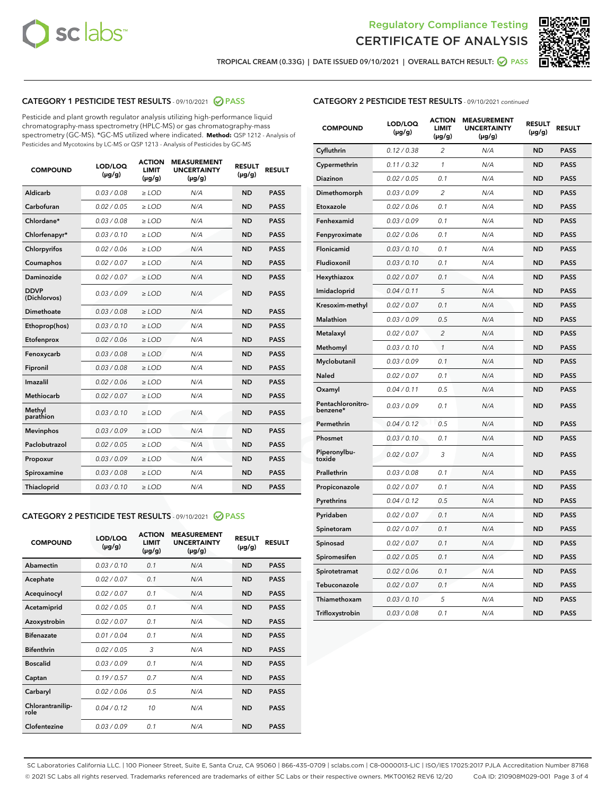



TROPICAL CREAM (0.33G) | DATE ISSUED 09/10/2021 | OVERALL BATCH RESULT: ☑ PASS

# CATEGORY 1 PESTICIDE TEST RESULTS - 09/10/2021 2 PASS

Pesticide and plant growth regulator analysis utilizing high-performance liquid chromatography-mass spectrometry (HPLC-MS) or gas chromatography-mass spectrometry (GC-MS). \*GC-MS utilized where indicated. **Method:** QSP 1212 - Analysis of Pesticides and Mycotoxins by LC-MS or QSP 1213 - Analysis of Pesticides by GC-MS

| <b>COMPOUND</b>             | LOD/LOQ<br>$(\mu g/g)$ | <b>ACTION</b><br><b>LIMIT</b><br>$(\mu g/g)$ | <b>MEASUREMENT</b><br><b>UNCERTAINTY</b><br>$(\mu g/g)$ | <b>RESULT</b><br>$(\mu g/g)$ | <b>RESULT</b> |
|-----------------------------|------------------------|----------------------------------------------|---------------------------------------------------------|------------------------------|---------------|
| Aldicarb                    | 0.03 / 0.08            | $\ge$ LOD                                    | N/A                                                     | <b>ND</b>                    | <b>PASS</b>   |
| Carbofuran                  | 0.02/0.05              | $\ge$ LOD                                    | N/A                                                     | <b>ND</b>                    | <b>PASS</b>   |
| Chlordane*                  | 0.03 / 0.08            | $\ge$ LOD                                    | N/A                                                     | <b>ND</b>                    | <b>PASS</b>   |
| Chlorfenapyr*               | 0.03/0.10              | $\ge$ LOD                                    | N/A                                                     | <b>ND</b>                    | <b>PASS</b>   |
| Chlorpyrifos                | 0.02 / 0.06            | $\ge$ LOD                                    | N/A                                                     | <b>ND</b>                    | <b>PASS</b>   |
| Coumaphos                   | 0.02 / 0.07            | $>$ LOD                                      | N/A                                                     | <b>ND</b>                    | <b>PASS</b>   |
| <b>Daminozide</b>           | 0.02 / 0.07            | $\ge$ LOD                                    | N/A                                                     | <b>ND</b>                    | <b>PASS</b>   |
| <b>DDVP</b><br>(Dichlorvos) | 0.03/0.09              | $\ge$ LOD                                    | N/A                                                     | <b>ND</b>                    | <b>PASS</b>   |
| Dimethoate                  | 0.03 / 0.08            | $>$ LOD                                      | N/A                                                     | <b>ND</b>                    | <b>PASS</b>   |
| Ethoprop(hos)               | 0.03/0.10              | $\ge$ LOD                                    | N/A                                                     | <b>ND</b>                    | <b>PASS</b>   |
| Etofenprox                  | 0.02 / 0.06            | $\ge$ LOD                                    | N/A                                                     | <b>ND</b>                    | <b>PASS</b>   |
| Fenoxycarb                  | 0.03 / 0.08            | $>$ LOD                                      | N/A                                                     | <b>ND</b>                    | <b>PASS</b>   |
| Fipronil                    | 0.03/0.08              | $\ge$ LOD                                    | N/A                                                     | <b>ND</b>                    | <b>PASS</b>   |
| Imazalil                    | 0.02 / 0.06            | $>$ LOD                                      | N/A                                                     | <b>ND</b>                    | <b>PASS</b>   |
| Methiocarb                  | 0.02 / 0.07            | $\ge$ LOD                                    | N/A                                                     | <b>ND</b>                    | <b>PASS</b>   |
| Methyl<br>parathion         | 0.03/0.10              | $\ge$ LOD                                    | N/A                                                     | <b>ND</b>                    | <b>PASS</b>   |
| <b>Mevinphos</b>            | 0.03/0.09              | $\ge$ LOD                                    | N/A                                                     | <b>ND</b>                    | <b>PASS</b>   |
| Paclobutrazol               | 0.02 / 0.05            | $\ge$ LOD                                    | N/A                                                     | <b>ND</b>                    | <b>PASS</b>   |
| Propoxur                    | 0.03/0.09              | $\ge$ LOD                                    | N/A                                                     | <b>ND</b>                    | <b>PASS</b>   |
| Spiroxamine                 | 0.03 / 0.08            | $\ge$ LOD                                    | N/A                                                     | <b>ND</b>                    | <b>PASS</b>   |
| Thiacloprid                 | 0.03/0.10              | $\ge$ LOD                                    | N/A                                                     | <b>ND</b>                    | <b>PASS</b>   |

#### CATEGORY 2 PESTICIDE TEST RESULTS - 09/10/2021 @ PASS

| <b>COMPOUND</b>          | LOD/LOQ<br>$(\mu g/g)$ | <b>ACTION</b><br><b>LIMIT</b><br>$(\mu g/g)$ | <b>MEASUREMENT</b><br><b>UNCERTAINTY</b><br>$(\mu g/g)$ | <b>RESULT</b><br>$(\mu g/g)$ | <b>RESULT</b> |
|--------------------------|------------------------|----------------------------------------------|---------------------------------------------------------|------------------------------|---------------|
| Abamectin                | 0.03/0.10              | 0.1                                          | N/A                                                     | <b>ND</b>                    | <b>PASS</b>   |
| Acephate                 | 0.02/0.07              | 0.1                                          | N/A                                                     | <b>ND</b>                    | <b>PASS</b>   |
| Acequinocyl              | 0.02/0.07              | 0.1                                          | N/A                                                     | <b>ND</b>                    | <b>PASS</b>   |
| Acetamiprid              | 0.02/0.05              | 0.1                                          | N/A                                                     | <b>ND</b>                    | <b>PASS</b>   |
| Azoxystrobin             | 0.02/0.07              | 0.1                                          | N/A                                                     | <b>ND</b>                    | <b>PASS</b>   |
| <b>Bifenazate</b>        | 0.01/0.04              | 0.1                                          | N/A                                                     | <b>ND</b>                    | <b>PASS</b>   |
| <b>Bifenthrin</b>        | 0.02 / 0.05            | 3                                            | N/A                                                     | <b>ND</b>                    | <b>PASS</b>   |
| <b>Boscalid</b>          | 0.03/0.09              | 0.1                                          | N/A                                                     | <b>ND</b>                    | <b>PASS</b>   |
| Captan                   | 0.19/0.57              | 0.7                                          | N/A                                                     | <b>ND</b>                    | <b>PASS</b>   |
| Carbaryl                 | 0.02/0.06              | 0.5                                          | N/A                                                     | <b>ND</b>                    | <b>PASS</b>   |
| Chlorantranilip-<br>role | 0.04/0.12              | 10                                           | N/A                                                     | <b>ND</b>                    | <b>PASS</b>   |
| Clofentezine             | 0.03/0.09              | 0.1                                          | N/A                                                     | <b>ND</b>                    | <b>PASS</b>   |

| <b>COMPOUND</b>               | LOD/LOQ<br>(µg/g) | <b>ACTION</b><br><b>LIMIT</b><br>(µg/g) | <b>MEASUREMENT</b><br><b>UNCERTAINTY</b><br>$(\mu g/g)$ | <b>RESULT</b><br>(µg/g) | <b>RESULT</b> |
|-------------------------------|-------------------|-----------------------------------------|---------------------------------------------------------|-------------------------|---------------|
| Cyfluthrin                    | 0.12 / 0.38       | $\overline{c}$                          | N/A                                                     | <b>ND</b>               | <b>PASS</b>   |
| Cypermethrin                  | 0.11 / 0.32       | 1                                       | N/A                                                     | <b>ND</b>               | <b>PASS</b>   |
| <b>Diazinon</b>               | 0.02 / 0.05       | 0.1                                     | N/A                                                     | <b>ND</b>               | <b>PASS</b>   |
| Dimethomorph                  | 0.03 / 0.09       | 2                                       | N/A                                                     | <b>ND</b>               | <b>PASS</b>   |
| Etoxazole                     | 0.02 / 0.06       | 0.1                                     | N/A                                                     | <b>ND</b>               | <b>PASS</b>   |
| Fenhexamid                    | 0.03 / 0.09       | 0.1                                     | N/A                                                     | <b>ND</b>               | <b>PASS</b>   |
| Fenpyroximate                 | 0.02 / 0.06       | 0.1                                     | N/A                                                     | <b>ND</b>               | <b>PASS</b>   |
| Flonicamid                    | 0.03 / 0.10       | 0.1                                     | N/A                                                     | <b>ND</b>               | <b>PASS</b>   |
| Fludioxonil                   | 0.03 / 0.10       | 0.1                                     | N/A                                                     | <b>ND</b>               | <b>PASS</b>   |
| Hexythiazox                   | 0.02 / 0.07       | 0.1                                     | N/A                                                     | <b>ND</b>               | <b>PASS</b>   |
| Imidacloprid                  | 0.04 / 0.11       | 5                                       | N/A                                                     | <b>ND</b>               | <b>PASS</b>   |
| Kresoxim-methyl               | 0.02 / 0.07       | 0.1                                     | N/A                                                     | <b>ND</b>               | <b>PASS</b>   |
| Malathion                     | 0.03 / 0.09       | 0.5                                     | N/A                                                     | <b>ND</b>               | <b>PASS</b>   |
| Metalaxyl                     | 0.02 / 0.07       | $\overline{c}$                          | N/A                                                     | <b>ND</b>               | <b>PASS</b>   |
| Methomyl                      | 0.03 / 0.10       | $\mathcal{I}$                           | N/A                                                     | <b>ND</b>               | <b>PASS</b>   |
| Myclobutanil                  | 0.03 / 0.09       | 0.1                                     | N/A                                                     | <b>ND</b>               | <b>PASS</b>   |
| <b>Naled</b>                  | 0.02 / 0.07       | 0.1                                     | N/A                                                     | <b>ND</b>               | <b>PASS</b>   |
| Oxamyl                        | 0.04 / 0.11       | 0.5                                     | N/A                                                     | <b>ND</b>               | <b>PASS</b>   |
| Pentachloronitro-<br>benzene* | 0.03/0.09         | 0.1                                     | N/A                                                     | <b>ND</b>               | <b>PASS</b>   |
| Permethrin                    | 0.04 / 0.12       | 0.5                                     | N/A                                                     | <b>ND</b>               | <b>PASS</b>   |
| Phosmet                       | 0.03 / 0.10       | 0.1                                     | N/A                                                     | <b>ND</b>               | <b>PASS</b>   |
| Piperonylbu-<br>toxide        | 0.02 / 0.07       | 3                                       | N/A                                                     | <b>ND</b>               | <b>PASS</b>   |
| Prallethrin                   | 0.03 / 0.08       | 0.1                                     | N/A                                                     | <b>ND</b>               | <b>PASS</b>   |
| Propiconazole                 | 0.02 / 0.07       | 0.1                                     | N/A                                                     | <b>ND</b>               | <b>PASS</b>   |
| Pyrethrins                    | 0.04 / 0.12       | 0.5                                     | N/A                                                     | <b>ND</b>               | <b>PASS</b>   |
| Pyridaben                     | 0.02 / 0.07       | 0.1                                     | N/A                                                     | <b>ND</b>               | <b>PASS</b>   |
| Spinetoram                    | 0.02 / 0.07       | 0.1                                     | N/A                                                     | <b>ND</b>               | <b>PASS</b>   |
| Spinosad                      | 0.02 / 0.07       | 0.1                                     | N/A                                                     | <b>ND</b>               | <b>PASS</b>   |
| Spiromesifen                  | 0.02 / 0.05       | 0.1                                     | N/A                                                     | <b>ND</b>               | <b>PASS</b>   |
| Spirotetramat                 | 0.02 / 0.06       | 0.1                                     | N/A                                                     | ND                      | <b>PASS</b>   |
| Tebuconazole                  | 0.02 / 0.07       | 0.1                                     | N/A                                                     | <b>ND</b>               | <b>PASS</b>   |
| Thiamethoxam                  | 0.03 / 0.10       | 5                                       | N/A                                                     | <b>ND</b>               | <b>PASS</b>   |
| Trifloxystrobin               | 0.03 / 0.08       | 0.1                                     | N/A                                                     | <b>ND</b>               | <b>PASS</b>   |

SC Laboratories California LLC. | 100 Pioneer Street, Suite E, Santa Cruz, CA 95060 | 866-435-0709 | sclabs.com | C8-0000013-LIC | ISO/IES 17025:2017 PJLA Accreditation Number 87168 © 2021 SC Labs all rights reserved. Trademarks referenced are trademarks of either SC Labs or their respective owners. MKT00162 REV6 12/20 CoA ID: 210908M029-001 Page 3 of 4